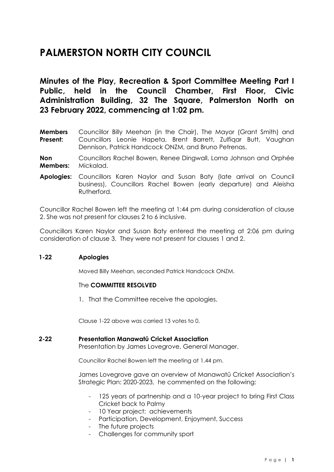# **PALMERSTON NORTH CITY COUNCIL**

**Minutes of the Play, Recreation & Sport Committee Meeting Part I Public, held in the Council Chamber, First Floor, Civic Administration Building, 32 The Square, Palmerston North on 23 February 2022, commencing at 1:02 pm.**

- **Members Present:** Councillor Billy Meehan (in the Chair), The Mayor (Grant Smith) and Councillors Leonie Hapeta, Brent Barrett, Zulfiqar Butt, Vaughan Dennison, Patrick Handcock ONZM, and Bruno Petrenas.
- **Non Members:** Councillors Rachel Bowen, Renee Dingwall, Lorna Johnson and Orphée Mickalad.
- **Apologies:** Councillors Karen Naylor and Susan Baty (late arrival on Council business), Councillors Rachel Bowen (early departure) and Aleisha Rutherford.

Councillor Rachel Bowen left the meeting at 1:44 pm during consideration of clause 2. She was not present for clauses 2 to 6 inclusive.

Councillors Karen Naylor and Susan Baty entered the meeting at 2:06 pm during consideration of clause 3. They were not present for clauses 1 and 2.

## **1-22 Apologies**

Moved Billy Meehan, seconded Patrick Handcock ONZM.

#### The **COMMITTEE RESOLVED**

1. That the Committee receive the apologies.

Clause 1-22 above was carried 13 votes to 0.

#### **2-22 Presentation Manawatū Cricket Association**

Presentation by James Lovegrove, General Manager.

Councillor Rachel Bowen left the meeting at 1.44 pm.

James Lovegrove gave an overview of Manawatū Cricket Association's Strategic Plan: 2020-2023, he commented on the following:

- 125 years of partnership and a 10-year project to bring First Class Cricket back to Palmy
- 10 Year project: achievements
- Participation, Development, Enjoyment, Success
- The future projects
- Challenges for community sport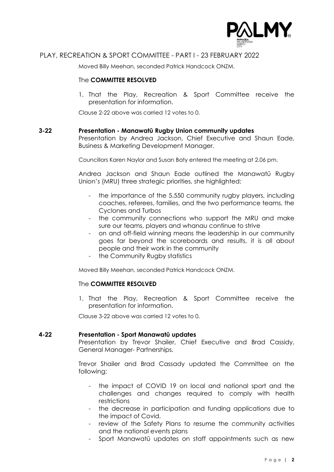

## PLAY, RECREATION & SPORT COMMITTEE - PART I - 23 FEBRUARY 2022

Moved Billy Meehan, seconded Patrick Handcock ONZM.

#### The **COMMITTEE RESOLVED**

1. That the Play, Recreation & Sport Committee receive the presentation for information.

Clause 2-22 above was carried 12 votes to 0.

#### **3-22 Presentation - Manawatū Rugby Union community updates**

Presentation by Andrea Jackson, Chief Executive and Shaun Eade, Business & Marketing Development Manager.

Councillors Karen Naylor and Susan Baty entered the meeting at 2.06 pm.

Andrea Jackson and Shaun Eade outlined the Manawatū Rugby Union's (MRU) three strategic priorities, she highlighted:

- the importance of the 5,550 community rugby players, including coaches, referees, families, and the two performance teams, the Cyclones and Turbos
- the community connections who support the MRU and make sure our teams, players and whanau continue to strive
- on and off-field winning means the leadership in our community goes far beyond the scoreboards and results, it is all about people and their work in the community
- the Community Rugby statistics

Moved Billy Meehan, seconded Patrick Handcock ONZM.

## The **COMMITTEE RESOLVED**

1. That the Play, Recreation & Sport Committee receive the presentation for information.

Clause 3-22 above was carried 12 votes to 0.

## **4-22 Presentation - Sport Manawatū updates**

Presentation by Trevor Shailer, Chief Executive and Brad Cassidy, General Manager- Partnerships.

Trevor Shailer and Brad Cassady updated the Committee on the following:

- the impact of COVID 19 on local and national sport and the challenges and changes required to comply with health restrictions
- the decrease in participation and funding applications due to the impact of Covid.
- review of the Safety Plans to resume the community activities and the national events plans
- Sport Manawatū updates on staff appointments such as new